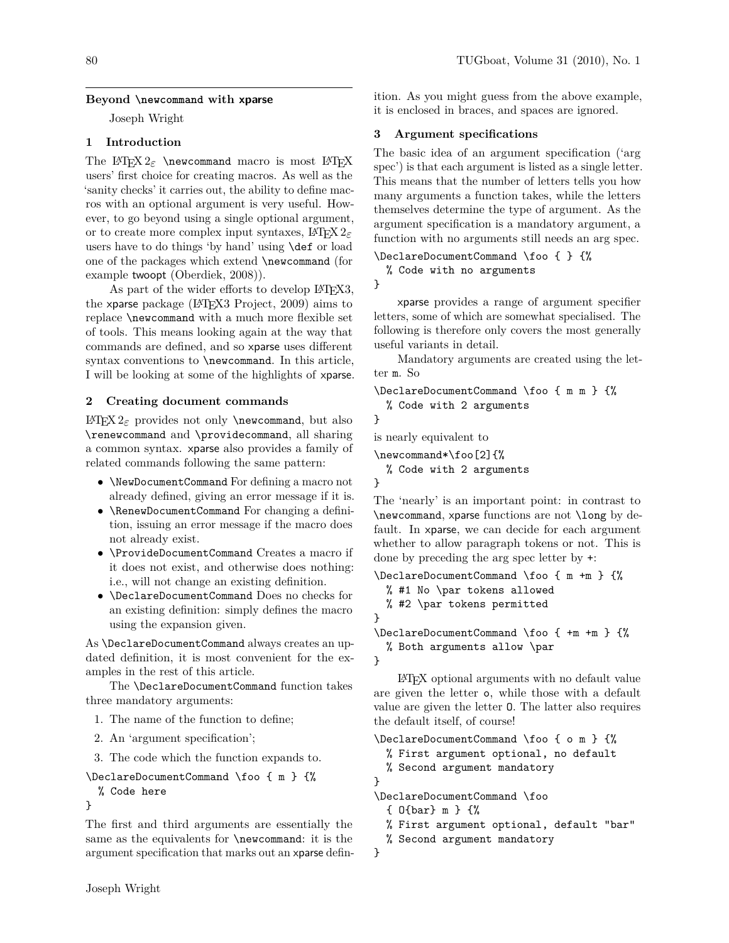## **Beyond \newcommand with xparse**

Joseph Wright

## **1 Introduction**

The L<sup>AT</sup>FX  $2\varepsilon$  \newcommand macro is most L<sup>AT</sup>FX users' first choice for creating macros. As well as the 'sanity checks' it carries out, the ability to define macros with an optional argument is very useful. However, to go beyond using a single optional argument, or to create more complex input syntaxes, LATEX 2*ε* users have to do things 'by hand' using \def or load one of the packages which extend \newcommand (for example twoopt [\(Oberdiek, 2008\)](#page-2-0)).

As part of the wider efforts to develop LAT<sub>F</sub>X3, the xparse package (IA[TEX3 Project, 2009\)](#page-2-1) aims to replace \newcommand with a much more flexible set of tools. This means looking again at the way that commands are defined, and so xparse uses different syntax conventions to \newcommand. In this article, I will be looking at some of the highlights of xparse.

### **2 Creating document commands**

LATEX  $2\varepsilon$  provides not only **\newcommand**, but also \renewcommand and \providecommand, all sharing a common syntax. xparse also provides a family of related commands following the same pattern:

- \NewDocumentCommand For defining a macro not already defined, giving an error message if it is.
- \RenewDocumentCommand For changing a definition, issuing an error message if the macro does not already exist.
- \ProvideDocumentCommand Creates a macro if it does not exist, and otherwise does nothing: i.e., will not change an existing definition.
- \DeclareDocumentCommand Does no checks for an existing definition: simply defines the macro using the expansion given.

As \DeclareDocumentCommand always creates an updated definition, it is most convenient for the examples in the rest of this article.

The \DeclareDocumentCommand function takes three mandatory arguments:

- 1. The name of the function to define;
- 2. An 'argument specification';
- 3. The code which the function expands to.

```
\DeclareDocumentCommand \foo { m } {%
```
% Code here

}

The first and third arguments are essentially the same as the equivalents for \newcommand: it is the argument specification that marks out an xparse defin-

ition. As you might guess from the above example, it is enclosed in braces, and spaces are ignored.

### **3 Argument specifications**

The basic idea of an argument specification ('arg spec') is that each argument is listed as a single letter. This means that the number of letters tells you how many arguments a function takes, while the letters themselves determine the type of argument. As the argument specification is a mandatory argument, a function with no arguments still needs an arg spec.

```
\DeclareDocumentCommand \foo { } {%
 % Code with no arguments
```

```
}
```
xparse provides a range of argument specifier letters, some of which are somewhat specialised. The following is therefore only covers the most generally useful variants in detail.

Mandatory arguments are created using the letter m. So

```
\DeclareDocumentCommand \foo { m m } {%
 % Code with 2 arguments
```

```
}
```
is nearly equivalent to

```
\newcommand*\foo[2]{%
  % Code with 2 arguments
}
```
The 'nearly' is an important point: in contrast to \newcommand, xparse functions are not \long by default. In xparse, we can decide for each argument whether to allow paragraph tokens or not. This is done by preceding the arg spec letter by +:

```
\DeclareDocumentCommand \foo { m +m } {%
  % #1 No \par tokens allowed
  % #2 \par tokens permitted
}
\DeclareDocumentCommand \foo { +m +m } {%
  % Both arguments allow \par
}
```
LATEX optional arguments with no default value are given the letter o, while those with a default value are given the letter O. The latter also requires the default itself, of course!

```
\DeclareDocumentCommand \foo { o m } {%
  % First argument optional, no default
  % Second argument mandatory
}
\DeclareDocumentCommand \foo
  { O{bar} m } {%
  % First argument optional, default "bar"
```
% Second argument mandatory

}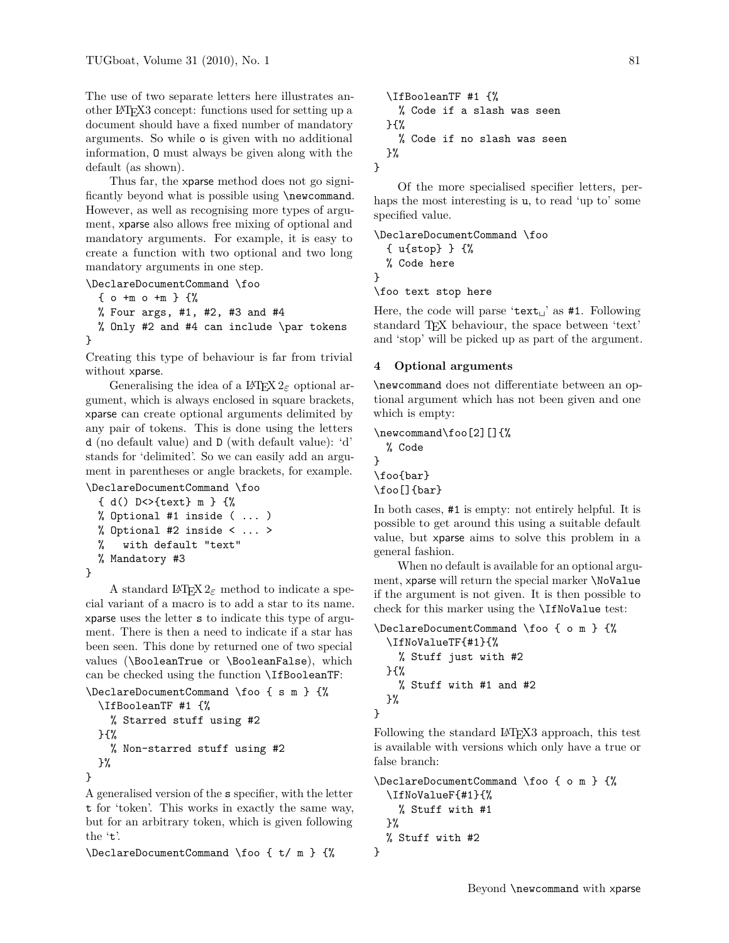The use of two separate letters here illustrates another LATEX3 concept: functions used for setting up a document should have a fixed number of mandatory arguments. So while o is given with no additional information, O must always be given along with the default (as shown).

Thus far, the xparse method does not go significantly beyond what is possible using \newcommand. However, as well as recognising more types of argument, xparse also allows free mixing of optional and mandatory arguments. For example, it is easy to create a function with two optional and two long mandatory arguments in one step.

\DeclareDocumentCommand \foo

```
{ o +m o +m } {%
  % Four args, #1, #2, #3 and #4
  % Only #2 and #4 can include \par tokens
}
```
Creating this type of behaviour is far from trivial without xparse.

Generalising the idea of a LATEX 2*ε* optional argument, which is always enclosed in square brackets, xparse can create optional arguments delimited by any pair of tokens. This is done using the letters d (no default value) and D (with default value): 'd' stands for 'delimited'. So we can easily add an argument in parentheses or angle brackets, for example.

\DeclareDocumentCommand \foo

```
{ d() D<>{text} m } {%
  % Optional #1 inside ( ... )
  % Optional #2 inside < ... >
  % with default "text"
  % Mandatory #3
}
```
A standard  $\text{LATEX } 2\varepsilon$  method to indicate a special variant of a macro is to add a star to its name. xparse uses the letter s to indicate this type of argument. There is then a need to indicate if a star has been seen. This done by returned one of two special values (\BooleanTrue or \BooleanFalse), which can be checked using the function \IfBooleanTF:

```
\DeclareDocumentCommand \foo { s m } {%
  \IfBooleanTF #1 {%
    % Starred stuff using #2
  }{%
    % Non-starred stuff using #2
  }%
}
```
A generalised version of the s specifier, with the letter t for 'token'. This works in exactly the same way, but for an arbitrary token, which is given following the 't'.

\DeclareDocumentCommand \foo { t/ m } {%

```
\IfBooleanTF #1 {%
    % Code if a slash was seen
  }{%
    % Code if no slash was seen
 }%
}
```
Of the more specialised specifier letters, perhaps the most interesting is **u**, to read 'up to' some specified value.

\DeclareDocumentCommand \foo { u{stop} } {%

```
% Code here
```
}

\foo text stop here

Here, the code will parse ' $text{text}_{\Box}$ ' as #1. Following standard TEX behaviour, the space between 'text' and 'stop' will be picked up as part of the argument.

#### **4 Optional arguments**

\newcommand does not differentiate between an optional argument which has not been given and one which is empty:

```
\newcommand\foo[2][]{%
  % Code
}
\foo{bar}
```
\foo[]{bar}

In both cases, #1 is empty: not entirely helpful. It is possible to get around this using a suitable default value, but xparse aims to solve this problem in a general fashion.

When no default is available for an optional argument, xparse will return the special marker \NoValue if the argument is not given. It is then possible to check for this marker using the \IfNoValue test:

```
\DeclareDocumentCommand \foo { o m } {%
  \IfNoValueTF{#1}{%
    % Stuff just with #2
  }{%
    % Stuff with #1 and #2
  }%
}
```
Following the standard LAT<sub>EX</sub>3 approach, this test is available with versions which only have a true or false branch:

```
\DeclareDocumentCommand \foo { o m } {%
  \IfNoValueF{#1}{%
    % Stuff with #1
  \frac{1}{2}%
  % Stuff with #2
}
```